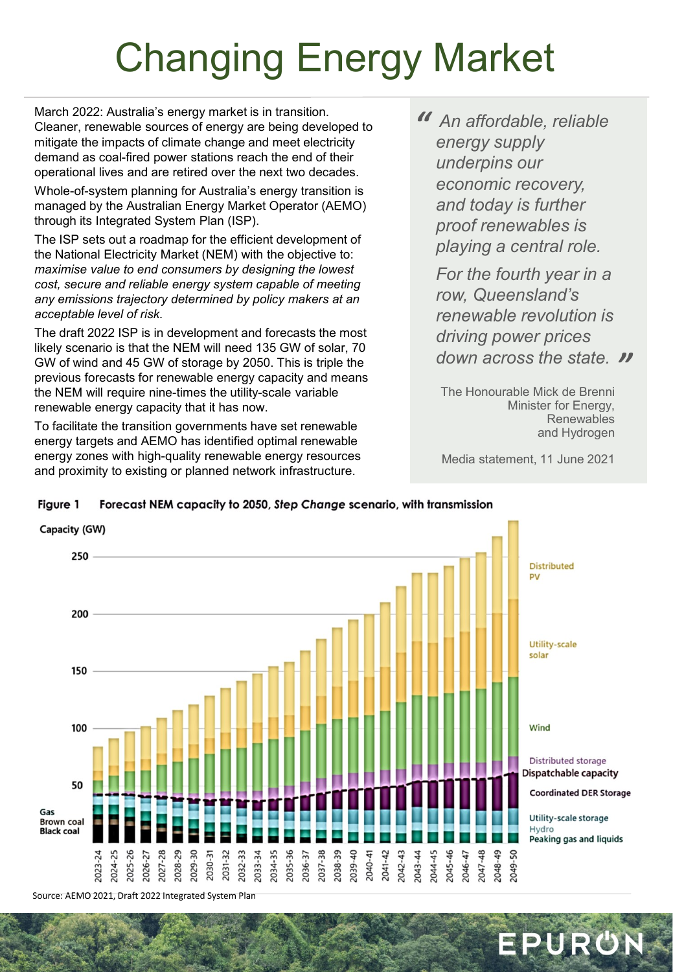## Changing Energy Market

March 2022: Australia's energy market is in transition. Cleaner, renewable sources of energy are being developed to mitigate the impacts of climate change and meet electricity demand as coal-fired power stations reach the end of their operational lives and are retired over the next two decades.

Whole-of-system planning for Australia's energy transition is managed by the Australian Energy Market Operator (AEMO) through its Integrated System Plan (ISP).

The ISP sets out a roadmap for the efficient development of the National Electricity Market (NEM) with the objective to: *maximise value to end consumers by designing the lowest cost, secure and reliable energy system capable of meeting any emissions trajectory determined by policy makers at an acceptable level of risk.*

The draft 2022 ISP is in development and forecasts the most likely scenario is that the NEM will need 135 GW of solar, 70 GW of wind and 45 GW of storage by 2050. This is triple the previous forecasts for renewable energy capacity and means the NEM will require nine-times the utility-scale variable renewable energy capacity that it has now.

To facilitate the transition governments have set renewable energy targets and AEMO has identified optimal renewable energy zones with high-quality renewable energy resources and proximity to existing or planned network infrastructure.

*" An affordable, reliable energy supply underpins our economic recovery, and today is further proof renewables is playing a central role.* 

*" down across the state. For the fourth year in a row, Queensland's renewable revolution is driving power prices* 

The Honourable Mick de Brenni Minister for Energy, **Renewables** and Hydrogen

Media statement, 11 June 2021

EPURON



Figure 1 Forecast NEM capacity to 2050, Step Change scenario, with transmission

Source: AEMO 2021, Draft 2022 Integrated System Plan